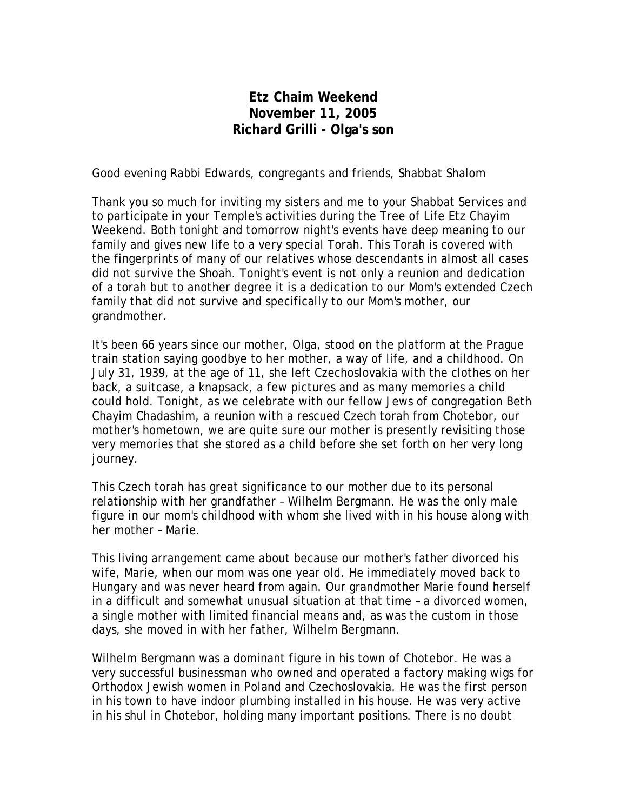## **Etz Chaim Weekend November 11, 2005 Richard Grilli - Olga's son**

Good evening Rabbi Edwards, congregants and friends, Shabbat Shalom

Thank you so much for inviting my sisters and me to your Shabbat Services and to participate in your Temple's activities during the Tree of Life Etz Chayim Weekend. Both tonight and tomorrow night's events have deep meaning to our family and gives new life to a very special Torah. This Torah is covered with the fingerprints of many of our relatives whose descendants in almost all cases did not survive the Shoah. Tonight's event is not only a reunion and dedication of a torah but to another degree it is a dedication to our Mom's extended Czech family that did not survive and specifically to our Mom's mother, our grandmother.

It's been 66 years since our mother, Olga, stood on the platform at the Prague train station saying goodbye to her mother, a way of life, and a childhood. On July 31, 1939, at the age of 11, she left Czechoslovakia with the clothes on her back, a suitcase, a knapsack, a few pictures and as many memories a child could hold. Tonight, as we celebrate with our fellow Jews of congregation Beth Chayim Chadashim, a reunion with a rescued Czech torah from Chotebor, our mother's hometown, we are quite sure our mother is presently revisiting those very memories that she stored as a child before she set forth on her very long journey.

This Czech torah has great significance to our mother due to its personal relationship with her grandfather – Wilhelm Bergmann. He was the only male figure in our mom's childhood with whom she lived with in his house along with her mother – Marie.

This living arrangement came about because our mother's father divorced his wife, Marie, when our mom was one year old. He immediately moved back to Hungary and was never heard from again. Our grandmother Marie found herself in a difficult and somewhat unusual situation at that time – a divorced women, a single mother with limited financial means and, as was the custom in those days, she moved in with her father, Wilhelm Bergmann.

Wilhelm Bergmann was a dominant figure in his town of Chotebor. He was a very successful businessman who owned and operated a factory making wigs for Orthodox Jewish women in Poland and Czechoslovakia. He was the first person in his town to have indoor plumbing installed in his house. He was very active in his shul in Chotebor, holding many important positions. There is no doubt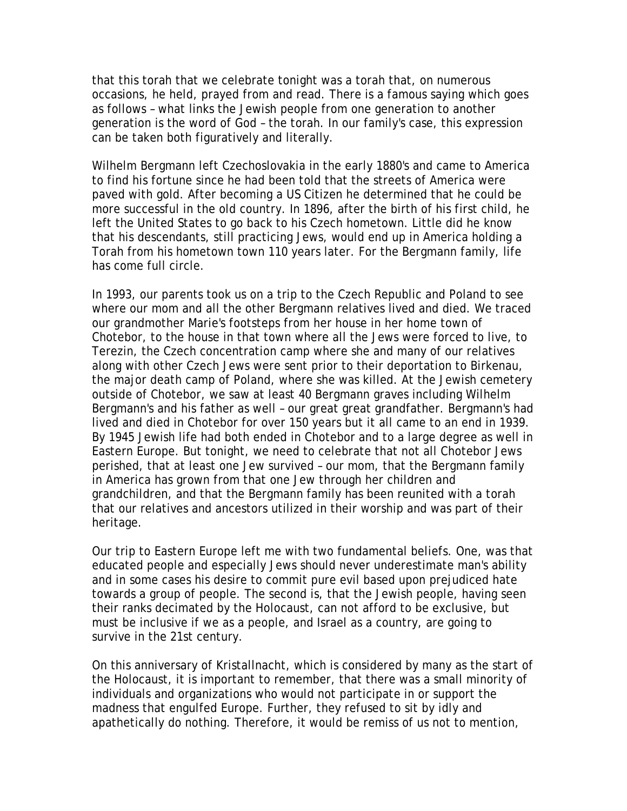that this torah that we celebrate tonight was a torah that, on numerous occasions, he held, prayed from and read. There is a famous saying which goes as follows – what links the Jewish people from one generation to another generation is the word of God – the torah. In our family's case, this expression can be taken both figuratively and literally.

Wilhelm Bergmann left Czechoslovakia in the early 1880's and came to America to find his fortune since he had been told that the streets of America were paved with gold. After becoming a US Citizen he determined that he could be more successful in the old country. In 1896, after the birth of his first child, he left the United States to go back to his Czech hometown. Little did he know that his descendants, still practicing Jews, would end up in America holding a Torah from his hometown town 110 years later. For the Bergmann family, life has come full circle.

In 1993, our parents took us on a trip to the Czech Republic and Poland to see where our mom and all the other Bergmann relatives lived and died. We traced our grandmother Marie's footsteps from her house in her home town of Chotebor, to the house in that town where all the Jews were forced to live, to Terezin, the Czech concentration camp where she and many of our relatives along with other Czech Jews were sent prior to their deportation to Birkenau, the major death camp of Poland, where she was killed. At the Jewish cemetery outside of Chotebor, we saw at least 40 Bergmann graves including Wilhelm Bergmann's and his father as well – our great great grandfather. Bergmann's had lived and died in Chotebor for over 150 years but it all came to an end in 1939. By 1945 Jewish life had both ended in Chotebor and to a large degree as well in Eastern Europe. But tonight, we need to celebrate that not all Chotebor Jews perished, that at least one Jew survived – our mom, that the Bergmann family in America has grown from that one Jew through her children and grandchildren, and that the Bergmann family has been reunited with a torah that our relatives and ancestors utilized in their worship and was part of their heritage.

Our trip to Eastern Europe left me with two fundamental beliefs. One, was that educated people and especially Jews should never underestimate man's ability and in some cases his desire to commit pure evil based upon prejudiced hate towards a group of people. The second is, that the Jewish people, having seen their ranks decimated by the Holocaust, can not afford to be exclusive, but must be inclusive if we as a people, and Israel as a country, are going to survive in the 21st century.

On this anniversary of Kristallnacht, which is considered by many as the start of the Holocaust, it is important to remember, that there was a small minority of individuals and organizations who would not participate in or support the madness that engulfed Europe. Further, they refused to sit by idly and apathetically do nothing. Therefore, it would be remiss of us not to mention,